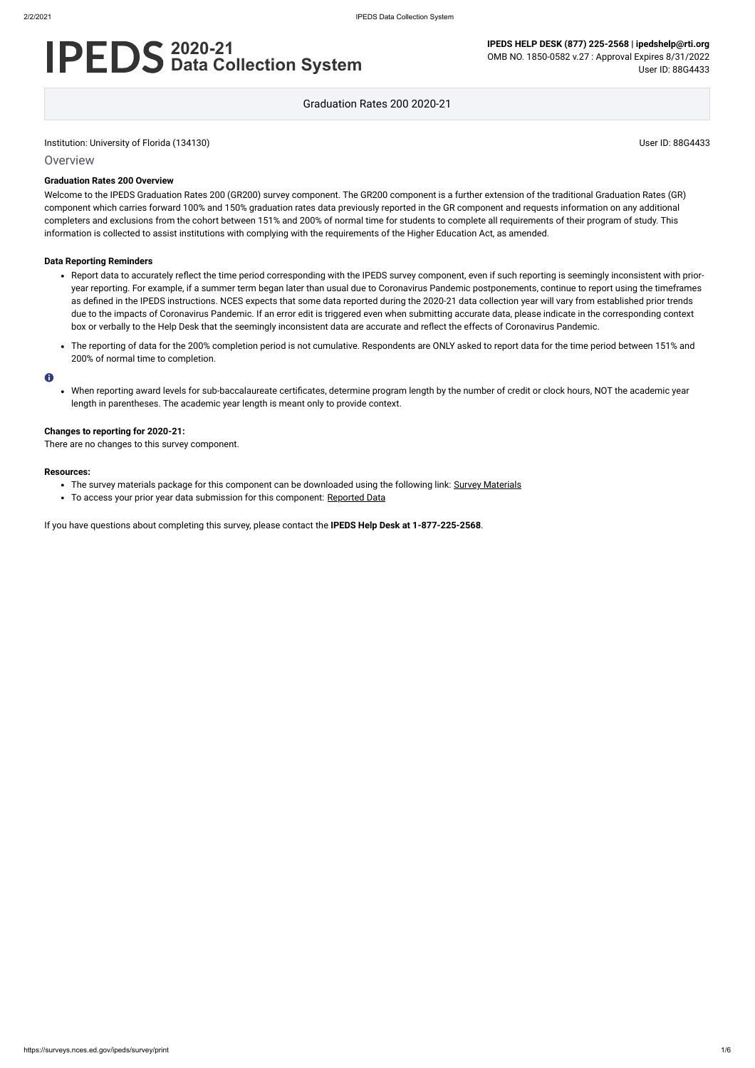Institution: University of Florida (134130) User ID: 88G4433

**Overview** 

# **2020-21 Data Collection System**

**IPEDS HELP DESK (877) 225-2568 | ipedshelp@rti.org** OMB NO. 1850-0582 v.27 : Approval Expires 8/31/2022 User ID: 88G4433

Graduation Rates 200 2020-21

#### **Graduation Rates 200 Overview**

Welcome to the IPEDS Graduation Rates 200 (GR200) survey component. The GR200 component is a further extension of the traditional Graduation Rates (GR) component which carries forward 100% and 150% graduation rates data previously reported in the GR component and requests information on any additional completers and exclusions from the cohort between 151% and 200% of normal time for students to complete all requirements of their program of study. This information is collected to assist institutions with complying with the requirements of the Higher Education Act, as amended.

#### **Data Reporting Reminders**

- The survey materials package for this component can be downloaded using the following link: Survey [Materials](https://surveys.nces.ed.gov/ipeds/public/survey-materials/index)
- To access your prior year data submission for this component: [Reported Data](https://surveys.nces.ed.gov/IPEDS_py/DataForms.aspx?f0e9e4efc4dfb8acaeafacaeaba1eef0edf1e0f4c4dfb8ada1f0eee0edc4dfb8b3b3c2afafaeaea1f0e9e4efc9dce8e0b8d0e9e4f1e0edeee4eff49beae19bc1e7eaede4dfdca1ebedeadee0eeeeb8e0f3efe0ede9dce7a1eddfefb8adaaadaaadabadac9bacabb5acb3b5b0b19bbcc8)
- Report data to accurately reflect the time period corresponding with the IPEDS survey component, even if such reporting is seemingly inconsistent with prioryear reporting. For example, if a summer term began later than usual due to Coronavirus Pandemic postponements, continue to report using the timeframes as defined in the IPEDS instructions. NCES expects that some data reported during the 2020-21 data collection year will vary from established prior trends due to the impacts of Coronavirus Pandemic. If an error edit is triggered even when submitting accurate data, please indicate in the corresponding context box or verbally to the Help Desk that the seemingly inconsistent data are accurate and reflect the effects of Coronavirus Pandemic.
- The reporting of data for the 200% completion period is not cumulative. Respondents are ONLY asked to report data for the time period between 151% and 200% of normal time to completion.

#### $\bullet$

When reporting award levels for sub-baccalaureate certificates, determine program length by the number of credit or clock hours, NOT the academic year length in parentheses. The academic year length is meant only to provide context.

#### **Changes to reporting for 2020-21:**

There are no changes to this survey component.

#### **Resources:**

If you have questions about completing this survey, please contact the **IPEDS Help Desk at 1-877-225-2568**.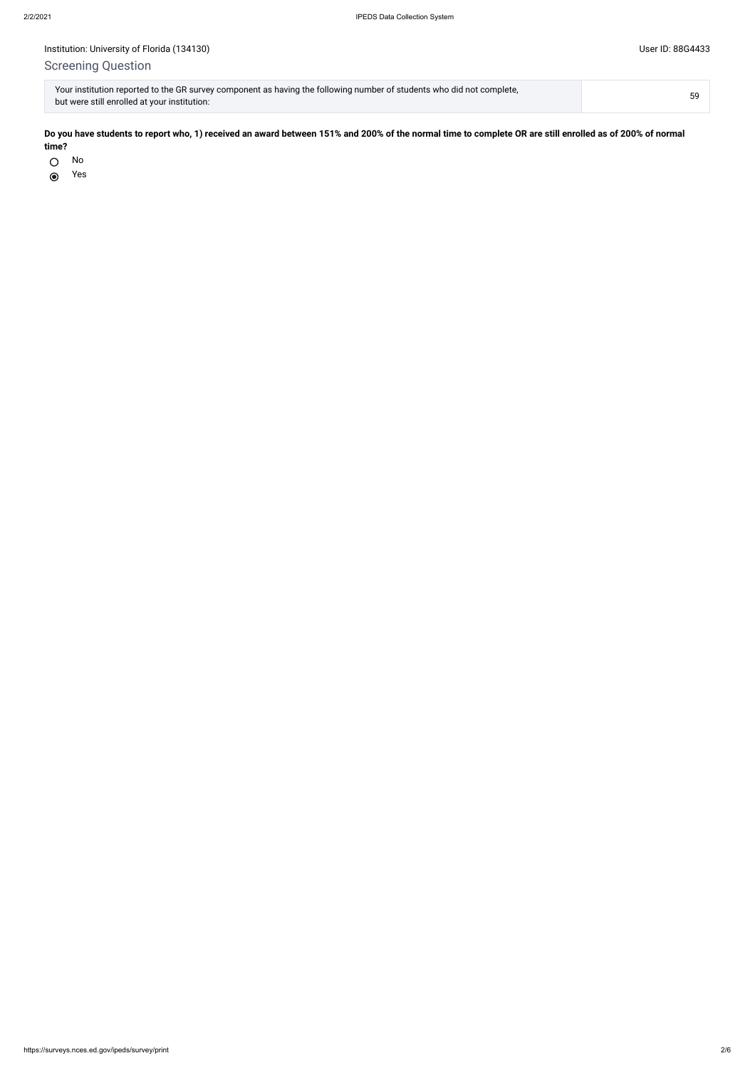# Screening Question

No  $\bigcirc$ 

Yes $\odot$ 

| Your institution reported to the GR survey component as having the following number of students who did not complete, | 59 |
|-----------------------------------------------------------------------------------------------------------------------|----|
| but were still enrolled at your institution:                                                                          |    |

**Do you have students to report who, 1) received an award between 151% and 200% of the normal time to complete OR are still enrolled as of 200% of normal time?**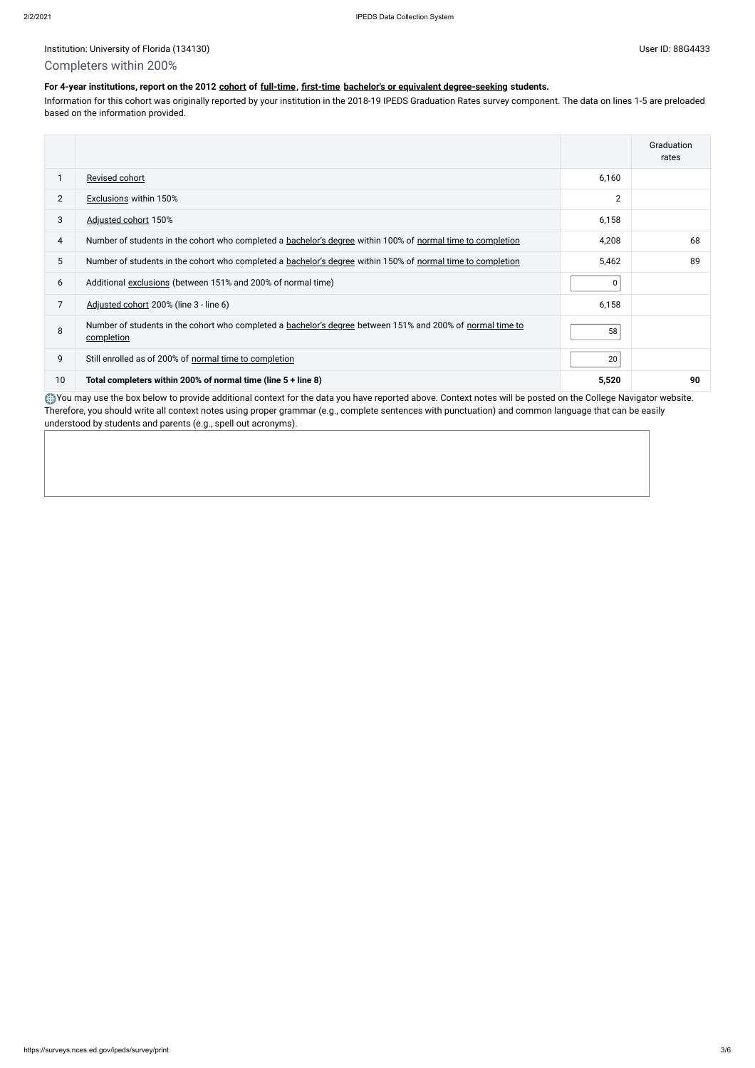#### Institution: University of Florida (134130) Channels and the User ID: 88G4433

## Completers within 200%

#### **For 4-year institutions, report on the 2012 [cohort](javascript:openglossary(119)) of [full-time,](javascript:openglossary(259)) [first-time](javascript:openglossary(241)) [bachelor's or equivalent degree-seeking](javascript:openglossary(79)) students.**

Information for this cohort was originally reported by your institution in the 2018-19 IPEDS Graduation Rates survey component. The data on lines 1-5 are preloaded based on the information provided.

You may use the box below to provide additional context for the data you have reported above. Context notes will be posted on the College Navigator website. Therefore, you should write all context notes using proper grammar (e.g., complete sentences with punctuation) and common language that can be easily understood by students and parents (e.g., spell out acronyms).

|                |                                                                                                                          |                | Graduation<br>rates |
|----------------|--------------------------------------------------------------------------------------------------------------------------|----------------|---------------------|
|                | Revised cohort                                                                                                           | 6,160          |                     |
| $\overline{2}$ | <b>Exclusions within 150%</b>                                                                                            | $\overline{2}$ |                     |
| 3              | Adjusted cohort 150%                                                                                                     | 6,158          |                     |
| 4              | Number of students in the cohort who completed a bachelor's degree within 100% of normal time to completion              | 4,208          | 68                  |
| 5              | Number of students in the cohort who completed a bachelor's degree within 150% of normal time to completion              | 5,462          | 89                  |
| 6              | Additional exclusions (between 151% and 200% of normal time)                                                             | 0              |                     |
| 7              | Adjusted cohort 200% (line 3 - line 6)                                                                                   | 6,158          |                     |
| 8              | Number of students in the cohort who completed a bachelor's degree between 151% and 200% of normal time to<br>completion | 58             |                     |
| 9              | Still enrolled as of 200% of normal time to completion                                                                   | 20             |                     |
| 10             | Total completers within 200% of normal time (line 5 + line 8)                                                            | 5,520          | 90                  |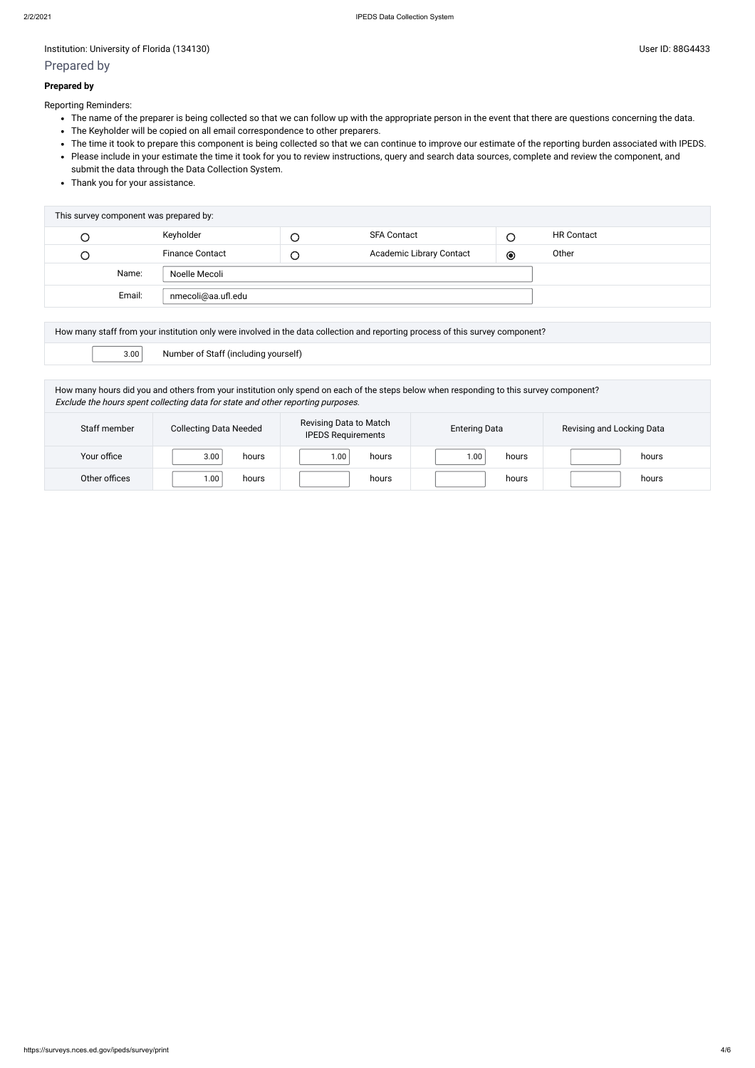Institution: University of Florida (134130) User ID: 88G4433

### Prepared by

#### **Prepared by**

Reporting Reminders:

- The name of the preparer is being collected so that we can follow up with the appropriate person in the event that there are questions concerning the data.
- The Keyholder will be copied on all email correspondence to other preparers.
- The time it took to prepare this component is being collected so that we can continue to improve our estimate of the reporting burden associated with IPEDS.
- Please include in your estimate the time it took for you to review instructions, query and search data sources, complete and review the component, and submit the data through the Data Collection System.
- Thank you for your assistance.

| Keyholder<br><b>SFA Contact</b><br><b>HR Contact</b><br>С<br>$\cup$<br>Academic Library Contact<br><b>Finance Contact</b><br>Other<br>$\bullet$<br>U<br>$\cup$<br>Name:<br>Noelle Mecoli<br>Email:<br>nmecoli@aa.ufl.edu | This survey component was prepared by: |  |  |  |  |  |  |  |
|--------------------------------------------------------------------------------------------------------------------------------------------------------------------------------------------------------------------------|----------------------------------------|--|--|--|--|--|--|--|
|                                                                                                                                                                                                                          |                                        |  |  |  |  |  |  |  |
|                                                                                                                                                                                                                          |                                        |  |  |  |  |  |  |  |
|                                                                                                                                                                                                                          |                                        |  |  |  |  |  |  |  |
|                                                                                                                                                                                                                          |                                        |  |  |  |  |  |  |  |

| How many staff from your institution only were involved in the data collection and reporting process of this survey component? |                                      |  |  |  |
|--------------------------------------------------------------------------------------------------------------------------------|--------------------------------------|--|--|--|
| 3.00                                                                                                                           | Number of Staff (including yourself) |  |  |  |

How many hours did you and others from your institution only spend on each of the steps below when responding to this survey component? Exclude the hours spent collecting data for state and other reporting purposes.

| Staff member  | <b>Collecting Data Needed</b> | Revising Data to Match<br><b>IPEDS Requirements</b> | <b>Entering Data</b> | Revising and Locking Data |
|---------------|-------------------------------|-----------------------------------------------------|----------------------|---------------------------|
| Your office   | 3.00<br>hours                 | .00<br>hours                                        | 1.00<br>hours        | hours                     |
| Other offices | 1.00<br>hours                 | hours                                               | hours                | hours                     |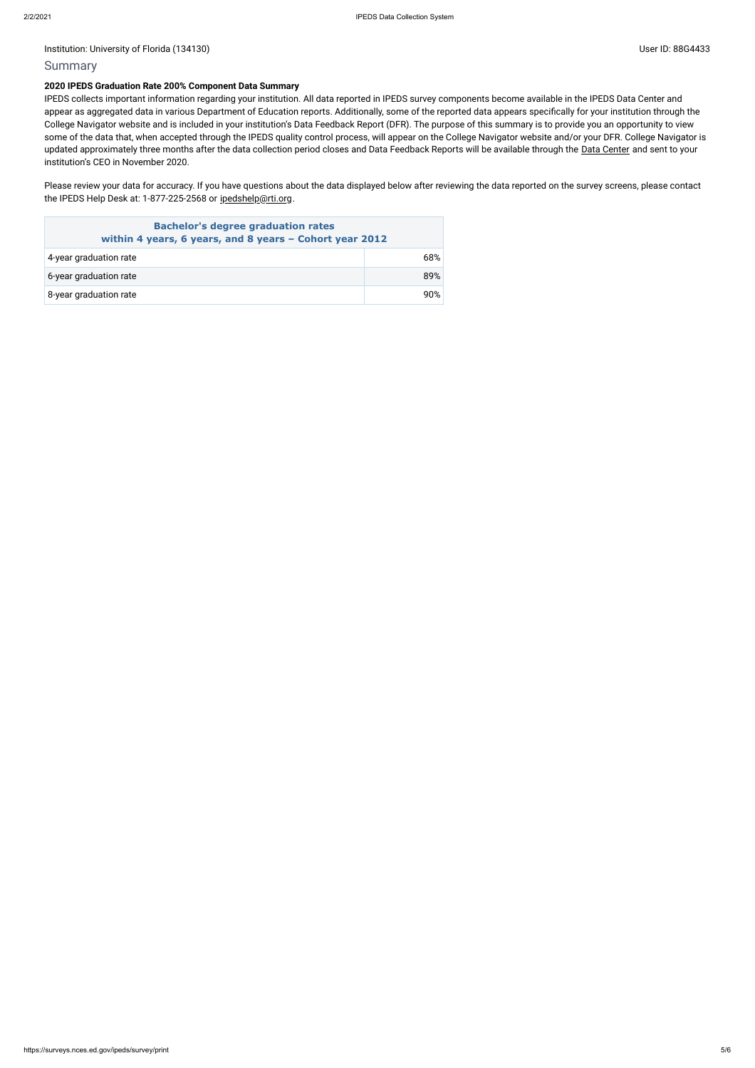Institution: University of Florida (134130) User ID: 88G4433

#### **Summary**

#### **2020 IPEDS Graduation Rate 200% Component Data Summary**

Please review your data for accuracy. If you have questions about the data displayed below after reviewing the data reported on the survey screens, please contact the IPEDS Help Desk at: 1-877-225-2568 or [ipedshelp@rti.org](mailto:ipedshelp@rti.org).

IPEDS collects important information regarding your institution. All data reported in IPEDS survey components become available in the IPEDS Data Center and appear as aggregated data in various Department of Education reports. Additionally, some of the reported data appears specifically for your institution through the College Navigator website and is included in your institution's Data Feedback Report (DFR). The purpose of this summary is to provide you an opportunity to view some of the data that, when accepted through the IPEDS quality control process, will appear on the College Navigator website and/or your DFR. College Navigator is updated approximately three months after the data collection period closes and Data Feedback Reports will be available through the Data [Center](https://nces.ed.gov/ipeds/use-the-data) and sent to your institution's CEO in November 2020.

| <b>Bachelor's degree graduation rates</b><br>within 4 years, 6 years, and 8 years - Cohort year 2012 |     |  |  |
|------------------------------------------------------------------------------------------------------|-----|--|--|
| 4-year graduation rate                                                                               | 68% |  |  |
| 6-year graduation rate                                                                               | 89% |  |  |
| 8-year graduation rate                                                                               | 9በ% |  |  |